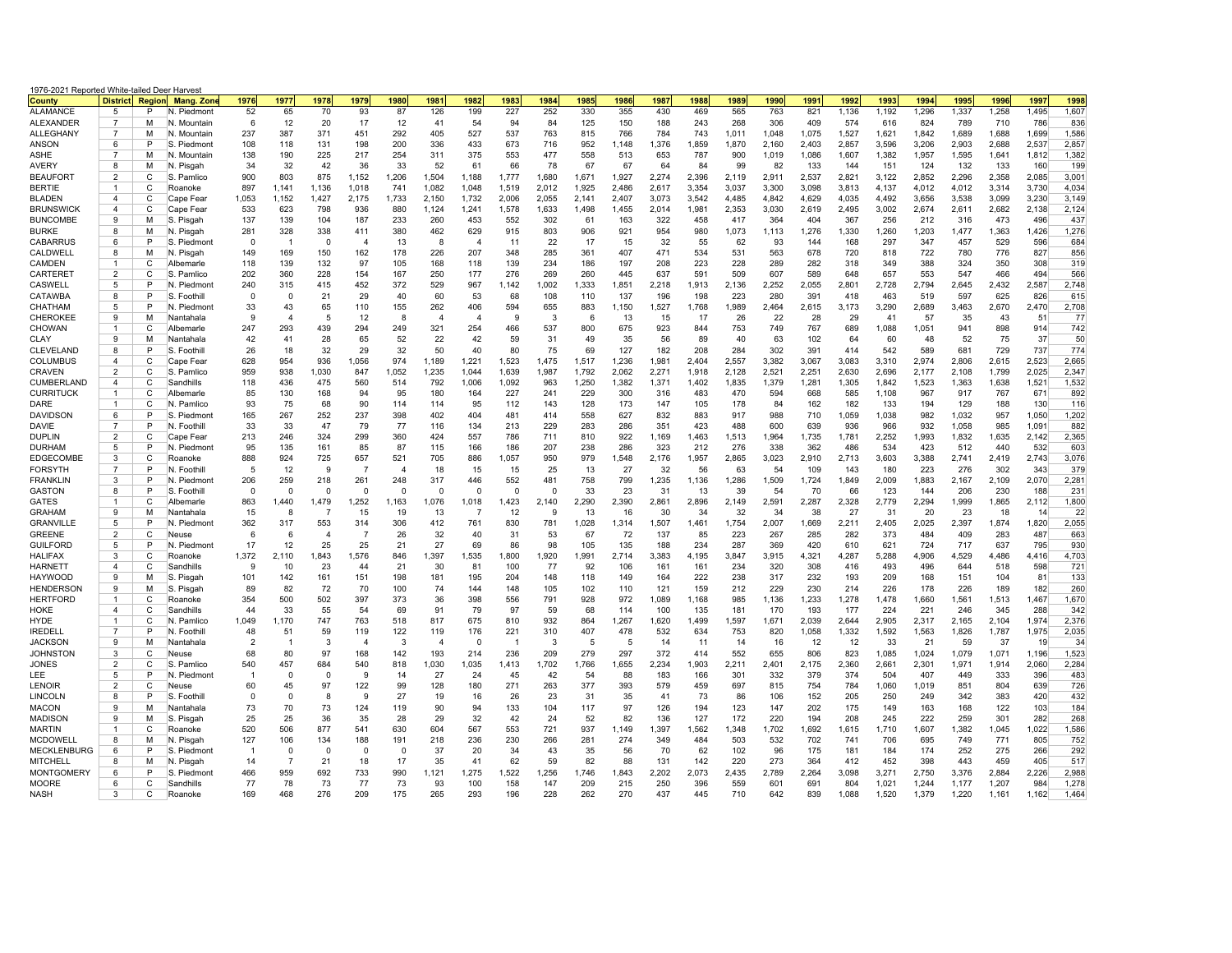| 1976-2021 Reported White-tailed Deer Harves<br><b>County</b> | <b>District</b>     |         | Region Mang. Zone          | 1976              | 1977           | 1978           | 1979                   | 1980       | 1981           | 1982           | 1983         | 1984         | 1985         | 1986         | 1987         | 1988         | 1989         | 1990         | 199'         | 1992         | 1993         | 1994         | 1995         | 1996         | 1997         | 1998         |
|--------------------------------------------------------------|---------------------|---------|----------------------------|-------------------|----------------|----------------|------------------------|------------|----------------|----------------|--------------|--------------|--------------|--------------|--------------|--------------|--------------|--------------|--------------|--------------|--------------|--------------|--------------|--------------|--------------|--------------|
| <b>ALAMANCE</b>                                              | 5                   | P       | N. Piedmont                | 52                | 65             | 70             | 93                     | 87         | 126            | 199            | 227          | 252          | 330          | 355          | 430          | 469          | 565          | 763          | 821          | 1,136        | 1,192        | 1,296        | 1,337        | 1,258        | 1.495        | 1.607        |
| <b>ALEXANDER</b>                                             | 7                   | м       | N. Mountair                | -6                | 12             | 20             | 17                     | 12         | 41             | 54             | 94           | 84           | 125          | 150          | 188          | 243          | 268          | 306          | 409          | 574          | 616          | 824          | 789          | 710          | 786          | 836          |
| <b>ALLEGHANY</b>                                             | $\overline{7}$      | М       | N. Mountain                | 237               | 387            | 371            | 451                    | 292        | 405            | 527            | 537          | 763          | 815          | 766          | 784          | 743          | 1.011        | 1.048        | 1.075        | 1.527        | 1,621        | 1,842        | 1.689        | 1.688        | 1.699        | 1,586        |
| ANSON                                                        | 6                   | P       | S. Piedmont                | 108               | 118            | 131            | 198                    | 200        | 336            | 433            | 673          | 716          | 952          | 1,148        | 1,376        | 1,859        | 1,870        | 2,160        | 2,403        | 2,857        | 3,596        | 3,206        | 2,903        | 2,688        | 2,537        | 2,857        |
| <b>ASHE</b>                                                  | $\overline{7}$      | М       | N. Mountair                | 138               | 190            | 225            | 217                    | 254        | 311            | 375            | 553          | 477          | 558          | 513          | 653          | 787          | 900          | 1.019        | 1,086        | 1.607        | 1,382        | 1,957        | 1,595        | 1,641        | 1.812        | 1.382        |
| AVERY                                                        | 8                   | м       | N. Pisgah                  | 34                | 32             | 42             | 36                     | 33         | 52             | 61             | 66           | 78           | 67           | 67           | 64           | 84           | 99           | 82           | 133          | 144          | 151          | 124          | 132          | 133          | 160          | 199          |
| <b>BEAUFORT</b>                                              | $\overline{2}$      | C       | S. Pamlico                 | 900               | 803            | 875            | 1.152                  | 1.206      | 1.504          | 1.188          | 1.777        | 1.680        | 1.671        | 1.927        | 2.274        | 2.396        | 2.119        | 2.911        | 2.537        | 2.821        | 3.122        | 2.852        | 2.296        | 2,358        | 2.085        | 3,001        |
| <b>BERTIE</b>                                                | $\mathbf{1}$        | С       | Roanoke                    | 897               | 1,141          | 1,136          | 1,018                  | 741        | 1,082          | 1,048          | 1,519        | 2,012        | 1,925        | 2,486        | 2,617        | 3,354        | 3,037        | 3,300        | 3,098        | 3,813        | 4,137        | 4,012        | 4,012        | 3,314        | 3,730        | 4,034        |
| <b>BLADEN</b>                                                | $\overline{4}$      | С       | Cape Fear                  | 1,053             | 1,152          | 1,427          | 2,175                  | 1,733      | 2,150          | 1,732          | 2,006        | 2,055        | 2,141        | 2,407        | 3,073        | 3,542        | 4,485        | 4,842        | 4,629        | 4,035        | 4,492        | 3,656        | 3,538        | 3,099        | 3,230        | 3,149        |
| <b>BRUNSWICK</b>                                             | $\overline{4}$      | С       | Cape Fear                  | 533               | 623            | 798            | 936                    | 880        | 1,124          | 1,241          | 1,578        | 1,633        | 1,498        | 1,455        | 2,014        | 1,981        | 2,353        | 3,030        | 2,619        | 2,495        | 3,002        | 2,674        | 2,611        | 2,682        | 2,138        | 2,124        |
| <b>BUNCOMBE</b>                                              | 9                   | М       | S. Pisgah                  | 137               | 139            | 104            | 187                    | 233        | 260            | 453            | 552          | 302          | 61           | 163          | 322          | 458          | 417          | 364          | 404          | 367          | 256          | 212          | 316          | 473          | 496          | 437          |
| <b>BURKE</b>                                                 | 8                   | М       | N. Pisgah                  | 281               | 328            | 338            | 411                    | 380        | 462            | 629            | 915          | 803          | 906          | 921          | 954          | 980          | 1,073        | 1,113        | 1,276        | 1,330        | 1,260        | 1,203        | 1,477        | 1,363        | 1,426        | 1,276        |
| <b>CABARRUS</b>                                              | 6                   | P       | S. Piedmont                | $\Omega$          | $\overline{1}$ | $\Omega$       | $\boldsymbol{\Lambda}$ | 13         | 8              | $\overline{4}$ | 11           | 22           | 17           | 15           | 32           | 55           | 62           | 93           | 144          | 168          | 297          | 347          | 457          | 529          | 596          | 684          |
| CALDWELL                                                     | 8                   | м       | N. Pisgah                  | 149               | 169            | 150            | 162                    | 178        | 226            | 207            | 348          | 285          | 361          | 407          | 471          | 534          | 531          | 563          | 678          | 720          | 818          | 722          | 780          | 776          | 827          | 856          |
| CAMDEN                                                       | $\mathbf{1}$        | C       | Albemarle                  | 118               | 139            | 132            | 97                     | 105        | 168            | 118            | 139          | 234          | 186          | 197          | 208          | 223          | 228          | 289          | 282          | 318          | 349          | 388          | 324          | 350          | 308          | 319          |
| <b>CARTERET</b><br>CASWELL                                   | $\overline{2}$<br>5 | С<br>P  | S. Pamlico                 | 202<br>240        | 360<br>315     | 228<br>415     | 154                    | 167<br>372 | 250<br>529     | 177<br>967     | 276<br>1,142 | 269          | 260          | 445<br>1,851 | 637          | 591<br>1,913 | 509          | 607          | 589          | 648          | 657          | 553<br>2,794 | 547<br>2,645 | 466          | 494          | 566<br>2,748 |
|                                                              | 8                   | P       | N. Piedmont<br>S. Foothill | $\Omega$          | $\Omega$       | 21             | 452<br>29              | 40         | 60             | 53             | 68           | 1,002<br>108 | 1,333<br>110 | 137          | 2,218<br>196 | 198          | 2,136<br>223 | 2,252<br>280 | 2,055<br>391 | 2,801<br>418 | 2,728<br>463 | 519          | 597          | 2,432<br>625 | 2,587<br>826 | 615          |
| <b>CATAWBA</b><br>CHATHAM                                    | 5                   | P       | N. Piedmont                | 33                | 43             | 65             | 110                    | 155        | 262            | 406            | 594          | 655          | 883          | 1,150        | 1,527        | 1,768        | 1,989        | 2,464        | 2,615        | 3,173        | 3,290        | 2,689        | 3,463        | 2,670        | 2,470        | 2,708        |
| CHEROKEE                                                     | 9                   | М       | Nantahala                  | 9                 | $\overline{4}$ | -5             | 12                     | 8          | $\overline{4}$ | $\overline{4}$ | 9            | -3           | 6            | 13           | 15           | 17           | 26           | 22           | 28           | 29           | 41           | 57           | 35           | 43           | 51           | 77           |
| CHOWAN                                                       | $\mathbf{1}$        | C       | Albemarle                  | 247               | 293            | 439            | 294                    | 249        | 321            | 254            | 466          | 537          | 800          | 675          | 923          | 844          | 753          | 749          | 767          | 689          | 1,088        | 1,051        | 941          | 898          | 914          | 742          |
| CLAY                                                         | 9                   | М       | Nantahala                  | 42                | 41             | 28             | 65                     | 52         | 22             | 42             | 59           | 31           | 49           | 35           | 56           | 89           | 40           | 63           | 102          | 64           | 60           | 48           | 52           | 75           | 37           | 50           |
| CLEVELAND                                                    | 8                   | P       | S. Foothill                | 26                | 18             | 32             | 29                     | 32         | 50             | 40             | 80           | 75           | 69           | 127          | 182          | 208          | 284          | 302          | 391          | 414          | 542          | 589          | 681          | 729          | 737          | 774          |
| <b>COLUMBUS</b>                                              | $\overline{4}$      | C       | Cape Fear                  | 628               | 954            | 936            | 1,056                  | 974        | 1,189          | 1,221          | 1,523        | 1,475        | 1,517        | 1,236        | 1,981        | 2,404        | 2,557        | 3,382        | 3,067        | 3,083        | 3,310        | 2,974        | 2,806        | 2,615        | 2,523        | 2,665        |
| CRAVEN                                                       | 2                   | С       | S. Pamlico                 | 959               | 938            | 1,030          | 847                    | 1,052      | 1,235          | 1,044          | 1,639        | 1,987        | 1,792        | 2,062        | 2,271        | 1,918        | 2,128        | 2,521        | 2,251        | 2,630        | 2,696        | 2,177        | 2,108        | 1,799        | 2,025        | 2,347        |
| CUMBERLAND                                                   | $\overline{4}$      | C       | Sandhills                  | 118               | 436            | 475            | 560                    | 514        | 792            | 1,006          | 1,092        | 963          | 1,250        | 1,382        | 1,371        | 1,402        | 1,835        | 1,379        | 1,281        | 1,305        | 1,842        | 1,523        | 1,363        | 1,638        | 1,521        | 1,532        |
| <b>CURRITUCK</b>                                             | $\mathbf{1}$        | C.      | Albemarle                  | 85                | 130            | 168            | 94                     | 95         | 180            | 164            | 227          | 241          | 229          | 300          | 316          | 483          | 470          | 594          | 668          | 585          | 1,108        | 967          | 917          | 767          | 671          | 892          |
| DARE                                                         | $\mathbf{1}$        | C       | N. Pamlico                 | 93                | 75             | 68             | 90                     | 114        | 114            | 95             | 112          | 143          | 128          | 173          | 147          | 105          | 178          | 84           | 162          | 182          | 133          | 194          | 129          | 188          | 130          | 116          |
| DAVIDSON                                                     | 6                   | P       | S. Piedmon                 | 165               | 267            | 252            | 237                    | 398        | 402            | 404            | 481          | 414          | 558          | 627          | 832          | 883          | 917          | 988          | 710          | 1,059        | 1,038        | 982          | 1,032        | 957          | 1,050        | 1,202        |
| DAVIE                                                        | 7                   | P       | N. Foothill                | 33                | 33             | 47             | 79                     | 77         | 116            | 134            | 213          | 229          | 283          | 286          | 351          | 423          | 488          | 600          | 639          | 936          | 966          | 932          | 1,058        | 985          | 1,091        | 882          |
| <b>DUPLIN</b>                                                | $\overline{2}$      | C.      | Cape Fear                  | 213               | 246            | 324            | 299                    | 360        | 424            | 557            | 786          | 711          | 810          | 922          | 1,169        | 1,463        | 1,513        | 1,964        | 1,735        | 1,781        | 2,252        | 1,993        | 1,832        | 1,635        | 2,142        | 2,365        |
| <b>DURHAM</b>                                                | 5                   | P       | N. Piedmont                | 95                | 135            | 161            | 85                     | 87         | 115            | 166            | 186          | 207          | 238          | 286          | 323          | 212          | 276          | 338          | 362          | 486          | 534          | 423          | 512          | 440          | 532          | 603          |
| <b>EDGECOMBE</b>                                             | 3                   | C       | Roanoke                    | 888               | 924            | 725            | 657                    | 521        | 705            | 886            | 1,057        | 950          | 979          | 1,548        | 2,176        | 1,957        | 2,865        | 3,023        | 2,910        | 2,713        | 3,603        | 3,388        | 2,741        | 2,419        | 2,743        | 3,076        |
| <b>FORSYTH</b>                                               | $\overline{7}$      | P       | N. Foothill                | 5                 | 12             | 9              | 7                      | 4          | 18             | 15             | 15           | 25           | 13           | 27           | 32           | 56           | 63           | 54           | 109          | 143          | 180          | 223          | 276          | 302          | 343          | 379          |
| <b>FRANKLIN</b>                                              | 3                   | P       | N. Piedmont                | 206               | 259            | 218            | 261                    | 248        | 317            | 446            | 552          | 481          | 758          | 799          | 1,235        | 1,136        | 1,286        | 1,509        | 1,724        | 1,849        | 2,009        | 1,883        | 2,167        | 2,109        | 2,070        | 2,281        |
| <b>GASTON</b>                                                | 8                   | P       | S. Foothill                | $\Omega$          | $\Omega$       | $\mathbf 0$    | $\Omega$               | $\Omega$   | $\Omega$       | $\mathbf 0$    | $\mathbf 0$  | $\Omega$     | 33           | 23           | 31           | 13           | 39           | 54           | 70           | 66           | 123          | 144          | 206          | 230          | 188          | 231          |
| GATES                                                        | $\mathbf{1}$        | С       | Albemarle                  | 863               | 1,440          | 1,479          | 1,252                  | 1,163      | 1,076          | 1,018          | 1,423        | 2,140        | 2,290        | 2,390        | 2,861        | 2,896        | 2,149        | 2,591        | 2,287        | 2,328        | 2,779        | 2,294        | 1,999        | 1,865        | 2,112        | 1,800        |
| <b>GRAHAM</b>                                                | 9                   | м       | Nantahala                  | 15                | 8              |                | 15                     | 19         | 13             | $\overline{7}$ | 12           | 9            | 13           | 16           | 30           | 34           | 32           | 34           | 38           | 27           | 31           | 20           | 23           | 18           | 14           | 22           |
| <b>GRANVILLE</b>                                             | 5                   | P       | N. Piedmont                | 362               | 317            | 553            | 314                    | 306        | 412            | 761            | 830          | 781          | 1,028        | 1,314        | 1,507        | 1,461        | 1,754        | 2,007        | 1,669        | 2,211        | 2,405        | 2,025        | 2,397        | 1,874        | 1,820        | 2,055        |
| <b>GREENE</b>                                                | $\overline{2}$      | С       | Neuse                      | 6                 | 6              | $\overline{4}$ | -7                     | 26         | 32             | 40             | 31           | 53           | 67           | 72           | 137          | 85           | 223          | 267          | 285          | 282          | 373          | 484          | 409          | 283          | 487          | 663          |
| <b>GUILFORD</b>                                              | 5                   | P       | N. Piedmont                | 17                | 12             | 25             | 25                     | 21         | 27             | 69             | 86           | 98           | 105          | 135          | 188          | 234          | 287          | 369          | 420          | 610          | 621          | 724          | 717          | 637          | 795          | 930          |
| HALIFAX                                                      | 3                   | C.<br>C | Roanoke                    | 1,372<br><b>q</b> | 2,110          | 1,843          | 1,576                  | 846        | 1,397          | 1,535          | 1,800        | 1,920        | 1,991        | 2,714        | 3,383        | 4,195        | 3,847        | 3,915        | 4,321        | 4,287        | 5,288        | 4,906<br>496 | 4,529        | 4,486        | 4,416        | 4,703        |
| <b>HARNETT</b><br>HAYWOOD                                    | $\overline{4}$<br>9 | М       | Sandhills<br>S. Pisgah     | 101               | 10<br>142      | 23<br>161      | 44<br>151              | 21<br>198  | 30<br>181      | 81<br>195      | 100<br>204   | 77<br>148    | 92<br>118    | 106<br>149   | 161<br>164   | 161<br>222   | 234<br>238   | 320<br>317   | 308<br>232   | 416<br>193   | 493<br>209   | 168          | 644<br>151   | 518<br>104   | 598<br>81    | 721<br>133   |
| <b>HENDERSON</b>                                             | 9                   | М       | S. Pisgah                  | 89                | 82             | 72             | 70                     | 100        | 74             | 144            | 148          | 105          | 102          | 110          | 121          | 159          | 212          | 229          | 230          | 214          | 226          | 178          | 226          | 189          | 182          | 260          |
| <b>HERTFORD</b>                                              | $\mathbf{1}$        | C.      | Roanoke                    | 354               | 500            | 502            | 397                    | 373        | 36             | 398            | 556          | 791          | 928          | 972          | 1,089        | 1,168        | 985          | 1,136        | 1,233        | 1,278        | 1,478        | 1,660        | 1,561        | 1,513        | 1,467        | 1,670        |
| HOKE                                                         | $\overline{a}$      | C.      | Sandhills                  | 44                | 33             | 55             | 54                     | 69         | 91             | 79             | 97           | 59           | 68           | 114          | 100          | 135          | 181          | 170          | 193          | 177          | 224          | 221          | 246          | 345          | 288          | 342          |
| <b>HYDE</b>                                                  | $\mathbf{1}$        | С       | N. Pamlico                 | 1,049             | 1,170          | 747            | 763                    | 518        | 817            | 675            | 810          | 932          | 864          | 1,267        | 1,620        | 1,499        | 1,597        | 1,671        | 2,039        | 2,644        | 2,905        | 2,317        | 2,165        | 2,104        | 1,974        | 2,376        |
| <b>IREDELL</b>                                               | $\overline{7}$      | P       | N. Foothill                | 48                | 51             | 59             | 119                    | 122        | 119            | 176            | 221          | 310          | 407          | 478          | 532          | 634          | 753          | 820          | 1,058        | 1,332        | 1,592        | 1,563        | 1,826        | 1,787        | 1,975        | 2,035        |
| <b>JACKSON</b>                                               | $\mathbf{Q}$        | М       | Nantahala                  | $\overline{2}$    | $\overline{1}$ | 3              | $\boldsymbol{\Lambda}$ | -3         |                | $\Omega$       | -1           | 3            | 5            | 5            | 14           | 11           | 14           | 16           | 12           | 12           | 33           | 21           | 59           | 37           | 19           | 34           |
| <b>JOHNSTON</b>                                              | 3                   | C       | Neuse                      | 68                | 80             | 97             | 168                    | 142        | 193            | 214            | 236          | 209          | 279          | 297          | 372          | 414          | 552          | 655          | 806          | 823          | 1,085        | 1,024        | 1,079        | 1,071        | 1,196        | 1,523        |
| JONES                                                        | $\overline{2}$      | C       | S. Pamlico                 | 540               | 457            | 684            | 540                    | 818        | 1,030          | 1,035          | 1.413        | 1,702        | 1.766        | 1,655        | 2,234        | 1,903        | 2,211        | 2.401        | 2,175        | 2,360        | 2,661        | 2,301        | 1.971        | 1,914        | 2,060        | 2,284        |
| LEE                                                          | 5                   | P       | N. Piedmon                 |                   | $\Omega$       | $\Omega$       | $\mathbf{Q}$           | 14         | 27             | 24             | 45           | 42           | 54           | 88           | 183          | 166          | 301          | 332          | 379          | 374          | 504          | 407          | 449          | 333          | 396          | 483          |
| <b>LENOIR</b>                                                | $\overline{2}$      | C       | Neuse                      | 60                | 45             | 97             | 122                    | 99         | 128            | 180            | 271          | 263          | 377          | 393          | 579          | 459          | 697          | 815          | 754          | 784          | 1.060        | 1.019        | 851          | 804          | 639          | 726          |
| LINCOLN                                                      | 8                   | P       | S. Foothill                | $\Omega$          | 0              | -8             | -9                     | 27         | 19             | 16             | 26           | 23           | 31           | 35           | 41           | 73           | 86           | 106          | 152          | 205          | 250          | 249          | 342          | 383          | 420          | 432          |
| <b>MACON</b>                                                 | 9                   | М       | Nantahala                  | 73                | 70             | 73             | 124                    | 119        | 90             | 94             | 133          | 104          | 117          | 97           | 126          | 194          | 123          | 147          | 202          | 175          | 149          | 163          | 168          | 122          | 103          | 184          |
| <b>MADISON</b>                                               | 9                   | М       | S. Pisgah                  | 25                | 25             | 36             | 35                     | 28         | 29             | 32             | 42           | 24           | 52           | 82           | 136          | 127          | 172          | 220          | 194          | 208          | 245          | 222          | 259          | 301          | 282          | 268          |
| <b>MARTIN</b>                                                | $\mathbf{1}$        | C       | Roanoke                    | 520               | 506            | 877            | 541                    | 630        | 604            | 567            | 553          | 721          | 937          | 1.149        | 1.397        | 1.562        | 1.348        | 1.702        | 1.692        | 1.615        | 1.710        | 1.607        | 1.382        | 1.045        | 1.022        | 1,586        |
| MCDOWELI                                                     | 8                   | М       | N. Pisgah                  | 127               | 106            | 134            | 188                    | 191        | 218            | 236            | 230          | 266          | 281          | 274          | 349          | 484          | 503          | 532          | 702          | 741          | 706          | 695          | 749          | 771          | 805          | 752          |
| <b>MECKLENBURG</b>                                           | 6                   | P       | S. Piedmont                |                   | $\Omega$       | $\Omega$       | $\Omega$               | $\Omega$   | 37             | 20             | 34           | 43           | 35           | 56           | 70           | 62           | 102          | 96           | 175          | 181          | 184          | 174          | 252          | 275          | 266          | 292          |
| MITCHELL                                                     | 8                   | М       | N. Pisgah                  | 14                | 7              | 21             | 18                     | 17         | 35             | 41             | 62           | 59           | 82           | 88           | 131          | 142          | 220          | 273          | 364          | 412          | 452          | 398          | 443          | 459          | 405          | 517          |
| <b>MONTGOMERY</b>                                            | 6                   | P       | S. Piedmont                | 466               | 959            | 692            | 733                    | 990        | 1.121          | 1,275          | 1.522        | 1.256        | 1.746        | 1.843        | 2.202        | 2.073        | 2.435        | 2.789        | 2.264        | 3.098        | 3.271        | 2.750        | 3.376        | 2.884        | 2.226        | 2.988        |
| <b>MOORE</b>                                                 | 6                   | С       | Sandhills                  | 77                | 78             | 73             | 77                     | 73         | 93             | 100            | 158          | 147          | 209          | 215          | 250          | 396          | 559          | 601          | 691          | 804          | 1,021        | 1,244        | 1,177        | 1,207        | 984          | 1,278        |
| <b>NASH</b>                                                  |                     | C       | Roanoke                    | 169               | 468            | 276            | 209                    | 175        | 265            | 293            | 196          | 228          | 262          | 270          | 437          | 445          | 710          | 642          | 839          | 1.088        | 1.520        | 1.379        | 1.220        | 1.161        | 1.162        | 1.464        |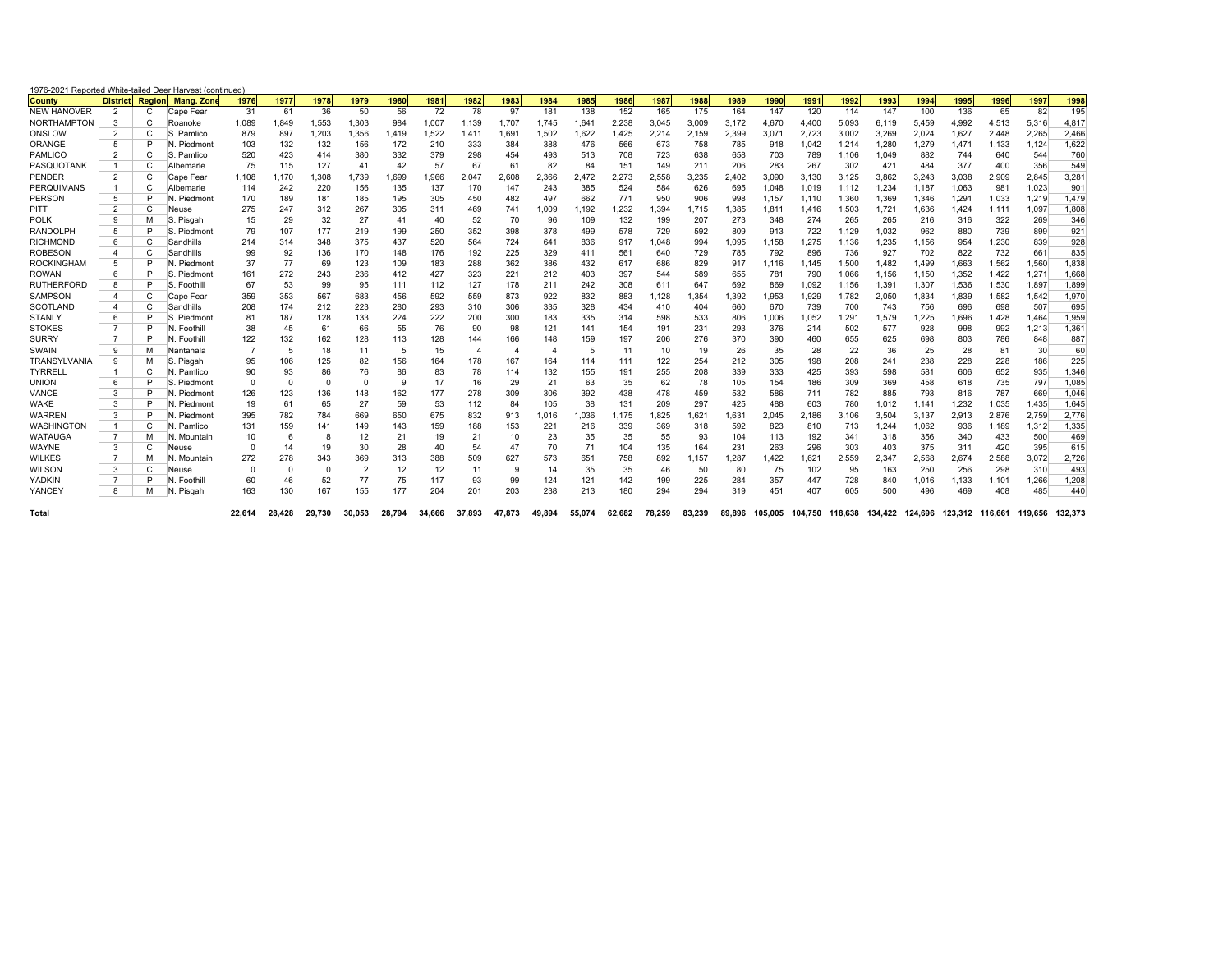| 1976-2021 Reported White-tailed Deer Harvest (continued) |                |              |                            |          |          |        |                          |                |        |        |                          |        |        |        |        |        |       |       |       |       |       |                                                                                |       |       |       |       |
|----------------------------------------------------------|----------------|--------------|----------------------------|----------|----------|--------|--------------------------|----------------|--------|--------|--------------------------|--------|--------|--------|--------|--------|-------|-------|-------|-------|-------|--------------------------------------------------------------------------------|-------|-------|-------|-------|
| <b>County</b>                                            |                |              | District Region Mang, Zone | 1976     | 1977     | 1978   | 1979                     | 1980           | 1981   | 1982   | 1983                     | 1984   | 1985   | 1986   | 1987   | 1988   | 1989  | 1990  | 199'  | 1992  | 1993  | 1994                                                                           | 1995  | 1996  | 1997  | 1998  |
| <b>NEW HANOVER</b>                                       | 2              | C            | Cape Fear                  | 31       | 61       | 36     | 50                       | 56             | 72     | 78     | 97                       | 181    | 138    | 152    | 165    | 175    | 164   | 147   | 120   | 114   | 147   | 100                                                                            | 136   | 65    | 82    | 195   |
| <b>NORTHAMPTON</b>                                       | 3              | C            | Roanoke                    | 1.089    | 1.849    | 1.553  | 1.303                    | 984            | 1.007  | 1.139  | 1.707                    | 1.745  | 1.641  | 2.238  | 3.045  | 3.009  | 3.172 | 4.670 | 4.400 | 5.093 | 6.119 | 5.459                                                                          | 4.992 | 4.513 | 5.316 | 4.817 |
| ONSLOW                                                   | $\overline{2}$ | C            | S. Pamlico                 | 879      | 897      | 1,203  | 1,356                    | 1.419          | 1,522  | 1,411  | 1,691                    | 1,502  | 1,622  | 1,425  | 2,214  | 2,159  | 2,399 | 3.071 | 2,723 | 3,002 | 3.269 | 2,024                                                                          | 1,627 | 2,448 | 2,265 | 2,466 |
| ORANGE                                                   | 5              | D            | N. Piedmont                | 103      | 132      | 132    | 156                      | 172            | 210    | 333    | 384                      | 388    | 476    | 566    | 673    | 758    | 785   | 918   | 1,042 | 1,214 | 1,280 | 1,279                                                                          | 1,471 | 1,133 | 1,124 | 1.622 |
| PAMLICO                                                  | 2              | C            | S. Pamlico                 | 520      | 423      | 414    | 380                      | 332            | 379    | 298    | 454                      | 493    | 513    | 708    | 723    | 638    | 658   | 703   | 789   | 1.106 | 1.049 | 882                                                                            | 744   | 640   | 544   | 760   |
| PASQUOTANK                                               | -1             | C            | Albemarle                  | 75       | 115      | 127    | 41                       | 42             | 57     | 67     | 61                       | 82     | 84     | 151    | 149    | 211    | 206   | 283   | 267   | 302   | 421   | 484                                                                            | 377   | 400   | 356   | 549   |
| PENDER                                                   | 2              | C            | Cape Fear                  | 1,108    | 1.170    | 1,308  | 1.739                    | 1,699          | 1,966  | 2,047  | 2,608                    | 2,366  | 2.472  | 2.273  | 2,558  | 3,235  | 2.402 | 3.090 | 3.130 | 3,125 | 3.862 | 3.243                                                                          | 3,038 | 2,909 | 2.845 | 3.281 |
| <b>PERQUIMANS</b>                                        | $\mathbf{1}$   | C            | Albemarle                  | 114      | 242      | 220    | 156                      | 135            | 137    | 170    | 147                      | 243    | 385    | 524    | 584    | 626    | 695   | 1.048 | 1.019 | 1.112 | 1.234 | 1.187                                                                          | 1.063 | 981   | 1.023 | 901   |
| PERSON                                                   | 5              | D            | N. Piedmont                | 170      | 189      | 181    | 185                      | 195            | 305    | 450    | 482                      | 497    | 662    | 771    | 950    | 906    | 998   | 1.157 | 1.110 | 1,360 | 1,369 | 1.346                                                                          | 1,291 | 1,033 | 1,219 | 1.479 |
| PITT                                                     | $\overline{2}$ |              | Neuse                      | 275      | 247      | 312    | 267                      | 305            | 311    | 469    | 741                      | 1,009  | 1,192  | 1,232  | 1,394  | 1.715  | 1,385 | 1,811 | 1,416 | 1,503 | 1,721 | 1,636                                                                          | 1,424 | 1,111 | 1,097 | 1,808 |
| <b>POLK</b>                                              | 9              | M            | S. Pisgah                  | 15       | 29       | 32     | 27                       | 41             | 40     | 52     | 70                       | 96     | 109    | 132    | 199    | 207    | 273   | 348   | 274   | 265   | 265   | 216                                                                            | 316   | 322   | 269   | 346   |
| RANDOLPH                                                 | 5              |              | Piedmont<br>lS             | 79       | 107      | 177    | 219                      | 199            | 250    | 352    | 398                      | 378    | 499    | 578    | 729    | 592    | 809   | 913   | 722   | 1,129 | 1,032 | 962                                                                            | 880   | 739   | 899   | 921   |
| <b>RICHMOND</b>                                          | 6              | C            | Sandhills                  | 214      | 314      | 348    | 375                      | 437            | 520    | 564    | 724                      | 641    | 836    | 917    | 1.048  | 994    | 1,095 | 1,158 | 1,275 | 1,136 | 1,235 | 1,156                                                                          | 954   | 1,230 | 839   | 928   |
| <b>ROBESON</b>                                           | $\Delta$       | C            | Sandhills                  | 99       | 92       | 136    | 170                      | 148            | 176    | 192    | 225                      | 329    | 411    | 561    | 640    | 729    | 785   | 792   | 896   | 736   | 927   | 702                                                                            | 822   | 732   | 661   | 835   |
| <b>ROCKINGHAM</b>                                        | 5              |              | N. Piedmont                | 37       | 77       | 69     | 123                      | 109            | 183    | 288    | 362                      | 386    | 432    | 617    | 686    | 829    | 917   | 1.116 | 1.145 | 1,500 | 1.482 | 1.499                                                                          | 1,663 | 1,562 | 1.560 | 1,838 |
| <b>ROWAN</b>                                             | 6              | Þ            | S. Piedmont                | 161      | 272      | 243    | 236                      | 412            | 427    | 323    | 221                      | 212    | 403    | 397    | 544    | 589    | 655   | 781   | 790   | 1,066 | 1.156 | 1,150                                                                          | 1,352 | 1,422 | 1,27' | 1.668 |
| <b>RUTHERFORD</b>                                        | 8              |              | S. Foothill                | 67       | 53       | 99     | 95                       | 111            | 112    | 127    | 178                      | 211    | 242    | 308    | 611    | 647    | 692   | 869   | 1.092 | 1.156 | 1,391 | 1,307                                                                          | 1,536 | 1,530 | 1.897 | 1.899 |
| <b>SAMPSON</b>                                           | $\Delta$       | $\mathsf{C}$ | Cape Fear                  | 359      | 353      | 567    | 683                      | 456            | 592    | 559    | 873                      | 922    | 832    | 883    | 1,128  | 1,354  | 1,392 | 1,953 | 1,929 | 1,782 | 2,050 | 1,834                                                                          | 1,839 | 1,582 | 1.542 | 1.970 |
| <b>SCOTLAND</b>                                          | $\overline{4}$ | C            | Sandhills                  | 208      | 174      | 212    | 223                      | 280            | 293    | 310    | 306                      | 335    | 328    | 434    | 410    | 404    | 660   | 670   | 739   | 700   | 743   | 756                                                                            | 696   | 698   | 507   | 695   |
| <b>STANLY</b>                                            | 6              | ⋼            | IS.<br>Piedmont            | 81       | 187      | 128    | 133                      | 224            | 222    | 200    | 300                      | 183    | 335    | 314    | 598    | 533    | 806   | 1,006 | 1.052 | 1.291 | 1.579 | 1.225                                                                          | 1.696 | 1.428 | 1.464 | 1.959 |
| <b>STOKES</b>                                            | $\overline{7}$ | Þ            | N. Foothill                | 38       | 45       | 61     | 66                       | 55             | 76     | 90     | 98                       | 121    | 141    | 154    | 191    | 231    | 293   | 376   | 214   | 502   | 577   | 928                                                                            | 998   | 992   | 1,213 | 1,361 |
| <b>SURRY</b>                                             | $\overline{7}$ |              | N. Foothill                | 122      | 132      | 162    | 128                      | 113            | 128    | 144    | 166                      | 148    | 159    | 197    | 206    | 276    | 370   | 390   | 460   | 655   | 625   | 698                                                                            | 803   | 786   | 848   | 887   |
| SWAIN                                                    | 9              | M            | Nantahala                  |          | 5        | 18     | 11                       | $\overline{5}$ | 15     |        | $\overline{\mathcal{L}}$ | 4      | 5      | 11     | 10     | 19     | 26    | 35    | 28    | 22    | 36    | 25                                                                             | 28    | 81    | 30    | 60    |
| TRANSYLVANIA                                             | 9              | M            | S. Pisgah                  | 95       | 106      | 125    | 82                       | 156            | 164    | 178    | 167                      | 164    | 114    | 111    | 122    | 254    | 212   | 305   | 198   | 208   | 241   | 238                                                                            | 228   | 228   | 186   | 225   |
| <b>TYRRELL</b>                                           | -1             |              | . Pamlico                  | 90       | 93       | 86     | 76                       | 86             | 83     | 78     | 114                      | 132    | 155    | 191    | 255    | 208    | 339   | 333   | 425   | 393   | 598   | 581                                                                            | 606   | 652   | 935   | 1.346 |
| <b>UNION</b>                                             | 6              | D            | S. Piedmont                | $\Omega$ | $\Omega$ | 0      | $\Omega$                 | 9              | 17     | 16     | 29                       | 21     | 63     | 35     | 62     | 78     | 105   | 154   | 186   | 309   | 369   | 458                                                                            | 618   | 735   | 797   | 1.085 |
| VANCE                                                    | 3              |              | N. Piedmont                | 126      | 123      | 136    | 148                      | 162            | 177    | 278    | 309                      | 306    | 392    | 438    | 478    | 459    | 532   | 586   | 711   | 782   | 885   | 793                                                                            | 816   | 787   | 669   | 1.046 |
| <b>WAKE</b>                                              | 3              |              | N. Piedmont                | 19       | 61       | 65     | 27                       | 59             | 53     | 112    | 84                       | 105    | 38     | 131    | 209    | 297    | 425   | 488   | 603   | 780   | 1,012 | 1.141                                                                          | 1,232 | 1,035 | 1.435 | 1.645 |
| <b>WARREN</b>                                            | 3              | D            | N. Piedmont                | 395      | 782      | 784    | 669                      | 650            | 675    | 832    | 913                      | 1.016  | 1.036  | 1.175  | 1,825  | 1.621  | 1.631 | 2.045 | 2.186 | 3.106 | 3.504 | 3.137                                                                          | 2.913 | 2,876 | 2.759 | 2.776 |
| <b>WASHINGTON</b>                                        | $\mathbf{1}$   |              | . Pamlico<br>ΙN            | 131      | 159      | 141    | 149                      | 143            | 159    | 188    | 153                      | 221    | 216    | 339    | 369    | 318    | 592   | 823   | 810   | 713   | 1,244 | 1,062                                                                          | 936   | 1,189 | 1,312 | 1,335 |
| WATAUGA                                                  | $\overline{7}$ | M            | N. Mountain                | 10       | 6        | 8      | 12                       | 21             | 19     | 21     | 10                       | 23     | 35     | 35     | 55     | 93     | 104   | 113   | 192   | 341   | 318   | 356                                                                            | 340   | 433   | 500   | 469   |
| WAYNE                                                    | 3              | C            | Neuse                      | $\Omega$ | 14       | 19     | 30                       | 28             | 40     | 54     | 47                       | 70     | 71     | 104    | 135    | 164    | 231   | 263   | 296   | 303   | 403   | 375                                                                            | 311   | 420   | 395   | 615   |
| <b>WILKES</b>                                            | $\overline{7}$ | M            | IN.<br>. Mountain          | 272      | 278      | 343    | 369                      | 313            | 388    | 509    | 627                      | 573    | 651    | 758    | 892    | 1,157  | 1,287 | 1,422 | 1,621 | 2,559 | 2,347 | 2,568                                                                          | 2,674 | 2,588 | 3,072 | 2,726 |
| <b>WILSON</b>                                            | 3              |              | Neuse                      |          |          | 0      | $\overline{\phantom{a}}$ | 12             | 12     | 11     | 9                        | 14     | 35     | 35     | 46     | 50     | 80    | 75    | 102   | 95    | 163   | 250                                                                            | 256   | 298   | 310   | 493   |
| YADKIN                                                   | $\overline{7}$ | D            | N. Foothill                | 60       | 46       | 52     | 77                       | 75             | 117    | 93     | 99                       | 124    | 121    | 142    | 199    | 225    | 284   | 357   | 447   | 728   | 840   | 1,016                                                                          | 1,133 | 1.101 | 1.266 | 1,208 |
| <b>YANCEY</b>                                            | 8              | M            | Pisgah<br>ΙN               | 163      | 130      | 167    | 155                      | 177            | 204    | 201    | 203                      | 238    | 213    | 180    | 294    | 294    | 319   | 451   | 407   | 605   | 500   | 496                                                                            | 469   | 408   | 485   | 440   |
| Total                                                    |                |              |                            | 22.614   | 28.428   | 29.730 | 30.053                   | 28.794         | 34.666 | 37.893 | 47.873                   | 49.894 | 55.074 | 62.682 | 78.259 | 83.239 |       |       |       |       |       | 89.896 105.005 104.750 118.638 134.422 124.696 123.312 116.661 119.656 132.373 |       |       |       |       |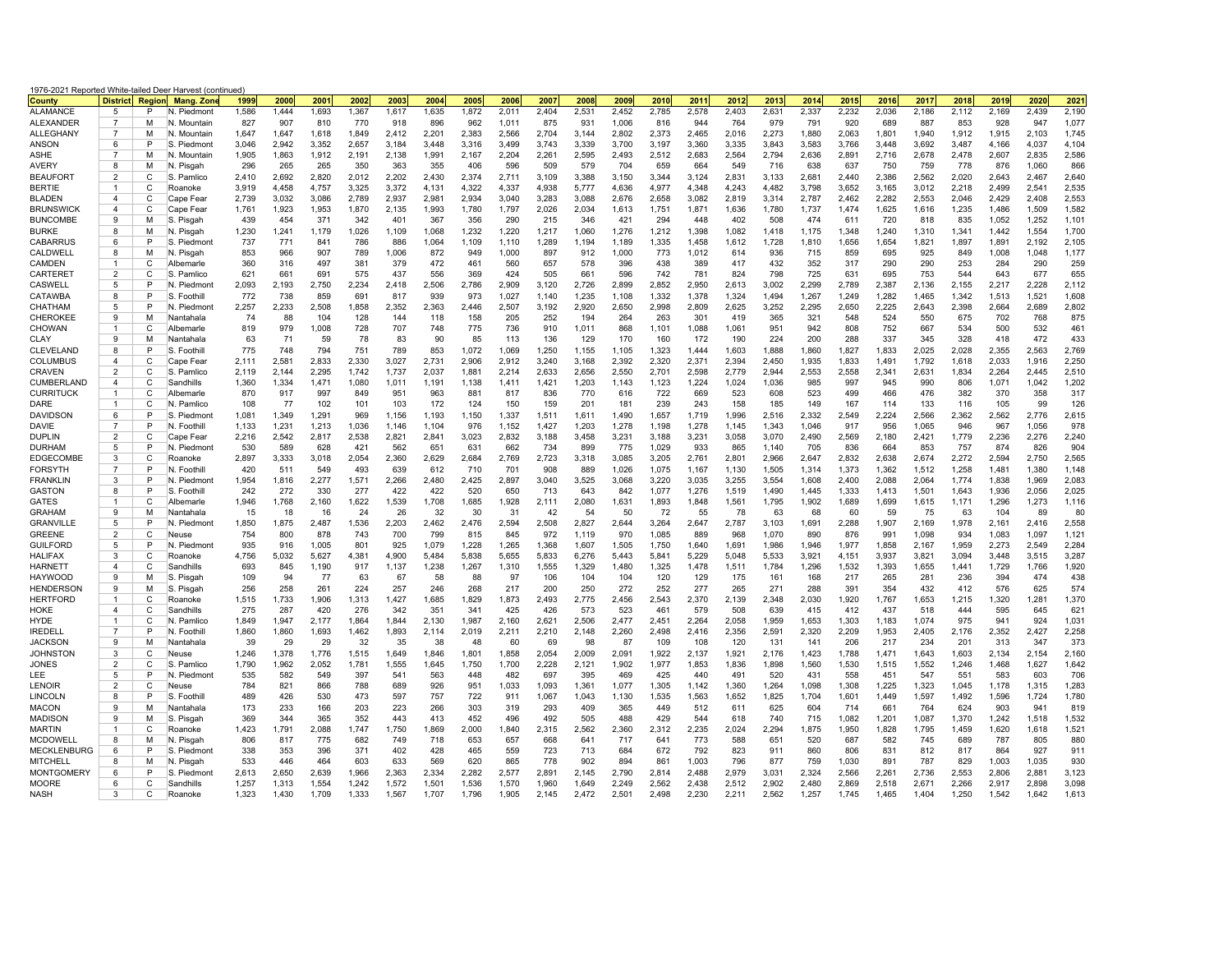| 1976-2021 Reported White-tailed Deer Harvest (continued)<br><b>District</b> Region |                                  |        |                            |                |                |                |                |                |                |                |                |                |                |                |                |                |                |                |                |                |                |                |                |                |                |                |
|------------------------------------------------------------------------------------|----------------------------------|--------|----------------------------|----------------|----------------|----------------|----------------|----------------|----------------|----------------|----------------|----------------|----------------|----------------|----------------|----------------|----------------|----------------|----------------|----------------|----------------|----------------|----------------|----------------|----------------|----------------|
| <b>County</b>                                                                      |                                  |        | <b>Mang. Zone</b>          | 1999           | 2000           | 2001           | 2002           | 2003           | 2004           | 2005           | 2006           | 2007           | 2008           | 2009           | 2010           | 2011           | 2012           | 2013           | 2014           | 2015           | 2016           | 2017           | 2018           | 2019           | 2020           | 2021           |
| <b>ALAMANCE</b>                                                                    | 5                                | P      | N. Piedmont                | 1.586          | 1.444          | 1.693          | 1.367          | 1.617          | 1.635          | 1.872          | 2.011          | 2.404          | 2.531          | 2.452          | 2.785          | 2.578          | 2.403          | 2.631          | 2.337          | 2.232          | 2.036          | 2.186          | 2.112          | 2.169          | 2.439          | 2,190          |
| <b>ALEXANDER</b>                                                                   | 7<br>$\overline{7}$              | M      | N. Mountain                | 827            | 907            | 810            | 770            | 918            | 896            | 962            | 1,011          | 875            | 931            | 1,006          | 816            | 944            | 764            | 979            | 791            | 920            | 689            | 887            | 853            | 928            | 947            | 1,077          |
| <b>ALLEGHANY</b>                                                                   | 6                                | M<br>P | N. Mountain                | 1.647          | 1.647<br>2,942 | 1,618          | 1.849          | 2.412          | 2,201          | 2.383          | 2,566          | 2,704          | 3.144<br>3,339 | 2,802          | 2,373          | 2.465          | 2.016          | 2,273<br>3,843 | 1.880<br>3,583 | 2.063          | 1,801<br>3,448 | 1.940<br>3,692 | 1.912          | 1.915          | 2,103          | 1,745<br>4,104 |
| ANSON<br><b>ASHE</b>                                                               | $\overline{7}$                   | M      | S. Piedmont<br>N. Mountain | 3,046<br>1,905 | 1.863          | 3,352<br>1,912 | 2,657<br>2.191 | 3,184<br>2.138 | 3,448<br>1,991 | 3,316<br>2,167 | 3,499<br>2.204 | 3,743<br>2,261 | 2.595          | 3,700<br>2.493 | 3,197<br>2,512 | 3,360<br>2.683 | 3,335<br>2.564 | 2,794          | 2.636          | 3,766<br>2.891 | 2,716          | 2,678          | 3,487<br>2,478 | 4,166<br>2,607 | 4,037<br>2.835 | 2,586          |
| AVERY                                                                              | 8                                | М      | N. Pisgah                  | 296            | 265            | 265            | 350            | 363            | 355            | 406            | 596            | 509            | 579            | 704            | 659            | 664            | 549            | 716            | 638            | 637            | 750            | 759            | 778            | 876            | 1,060          | 866            |
| <b>BEAUFORT</b>                                                                    | $\overline{2}$                   | C      | S. Pamlico                 | 2.410          | 2.692          | 2.820          | 2.012          | 2.202          | 2.430          | 2.374          | 2.711          | 3.109          | 3.388          | 3.150          | 3.344          | 3.124          | 2.831          | 3.133          | 2.681          | 2.440          | 2.386          | 2.562          | 2.020          | 2.643          | 2.467          | 2.640          |
| <b>BERTIE</b>                                                                      | -1                               | C      | Roanoke                    | 3,919          | 4,458          | 4,757          | 3,325          | 3,372          | 4,131          | 4,322          | 4,337          | 4,938          | 5,777          | 4,636          | 4,977          | 4,348          | 4,243          | 4,482          | 3,798          | 3,652          | 3,165          | 3,012          | 2,218          | 2,499          | 2,541          | 2,535          |
| <b>BLADEN</b>                                                                      | $\overline{a}$                   | C      | Cape Fear                  | 2,739          | 3.032          | 3,086          | 2.789          | 2.937          | 2,981          | 2.934          | 3.040          | 3,283          | 3.088          | 2.676          | 2,658          | 3.082          | 2.819          | 3,314          | 2.787          | 2.462          | 2,282          | 2.553          | 2.046          | 2,429          | 2.408          | 2,553          |
| <b>BRUNSWICK</b>                                                                   | 4                                | С      | Cape Fear                  | 1,761          | 1,923          | 1,953          | 1,870          | 2,135          | 1,993          | 1,780          | 1,797          | 2,026          | 2,034          | 1,613          | 1,751          | 1,871          | 1,636          | 1,780          | 1,737          | 1,474          | 1,625          | 1,616          | 1,235          | 1,486          | 1,509          | 1,582          |
| <b>BUNCOMBE</b>                                                                    | $\mathbf{Q}$                     | M      | S. Pisgah                  | 439            | 454            | 371            | 342            | 401            | 367            | 356            | 290            | 215            | 346            | 421            | 294            | 448            | 402            | 508            | 474            | 611            | 720            | 818            | 835            | 1,052          | 1.252          | 1.101          |
| <b>BURKE</b>                                                                       | 8                                | М      | N. Pisgah                  | 1,230          | 1,241          | 1,179          | 1,026          | 1,109          | 1,068          | 1,232          | 1,220          | 1,217          | 1,060          | 1,276          | 1,212          | 1,398          | 1,082          | 1,418          | 1,175          | 1,348          | 1,240          | 1,310          | 1,341          | 1,442          | 1,554          | 1,700          |
| CABARRUS                                                                           | 6                                | P      | S. Piedmont                | 737            | 771            | 841            | 786            | 886            | 1,064          | 1,109          | 1,110          | 1,289          | 1,194          | 1,189          | 1,335          | 1,458          | 1,612          | 1,728          | 1,810          | 1,656          | 1,654          | 1,821          | 1,897          | 1,891          | 2,192          | 2,105          |
| CALDWELL                                                                           | 8<br>1                           | М<br>C | N. Pisgah                  | 853            | 966            | 907            | 789            | 1,006          | 872            | 949<br>461     | 1,000          | 897            | 912            | 1,000          | 773            | 1,012<br>389   | 614<br>417     | 936            | 715            | 859<br>317     | 695            | 925            | 849            | 1,008          | 1,048<br>290   | 1,177          |
| CAMDEN<br>CARTERE <sup>®</sup>                                                     | $\overline{2}$                   | C      | Albemarle<br>S. Pamlico    | 360<br>621     | 316<br>661     | 497<br>691     | 381<br>575     | 379<br>437     | 472<br>556     | 369            | 560<br>424     | 657<br>505     | 578<br>661     | 396<br>596     | 438<br>742     | 781            | 824            | 432<br>798     | 352<br>725     | 631            | 290<br>695     | 290<br>753     | 253<br>544     | 284<br>643     | 677            | 259<br>655     |
| CASWELL                                                                            | 5                                | P      | N. Piedmon                 | 2,093          | 2,193          | 2,750          | 2,234          | 2,418          | 2,506          | 2,786          | 2,909          | 3,120          | 2,726          | 2,899          | 2,852          | 2,950          | 2,613          | 3,002          | 2,299          | 2,789          | 2,387          | 2,136          | 2,155          | 2,217          | 2,228          | 2,112          |
| CATAWBA                                                                            | 8                                | P      | IS.<br>Foothil             | 772            | 738            | 859            | 691            | 817            | 939            | 973            | 1,027          | 1,140          | 1,235          | 1,108          | 1,332          | 1,378          | 1,324          | 1,494          | 1,267          | 1,249          | 1,282          | 1.465          | 1,342          | 1,513          | 1,521          | 1,608          |
| CHATHAM                                                                            | 5                                | P      | N. Piedmont                | 2,257          | 2,233          | 2,508          | 1,858          | 2,352          | 2,363          | 2,446          | 2,507          | 3,192          | 2,920          | 2,650          | 2,998          | 2,809          | 2,625          | 3,252          | 2,295          | 2,650          | 2,225          | 2,643          | 2,398          | 2,664          | 2,689          | 2,802          |
| CHEROKEE                                                                           | 9                                | м      | Nantahala                  | 74             | 88             | 104            | 128            | 144            | 118            | 158            | 205            | 252            | 194            | 264            | 263            | 301            | 419            | 365            | 321            | 548            | 524            | 550            | 675            | 702            | 768            | 875            |
| CHOWAN                                                                             | 1                                | C      | Albemarle                  | 819            | 979            | 1,008          | 728            | 707            | 748            | 775            | 736            | 910            | 1,011          | 868            | 1,101          | 1,088          | 1,061          | 951            | 942            | 808            | 752            | 667            | 534            | 500            | 532            | 461            |
| CLAY                                                                               | 9                                | M      | Nantahala                  | 63             | 71             | 59             | 78             | 83             | 90             | 85             | 113            | 136            | 129            | 170            | 160            | 172            | 190            | 224            | 200            | 288            | 337            | 345            | 328            | 418            | 472            | 433            |
| CLEVELAND                                                                          | 8                                | P      | S. Foothil                 | 775            | 748            | 794            | 751            | 789            | 853            | 1,072          | 1,069          | 1,250          | 1,155          | 1,105          | 1,323          | 1,444          | 1,603          | 1,888          | 1,860          | 1,827          | 1,833          | 2,025          | 2,028          | 2,355          | 2,563          | 2,769          |
| <b>COLUMBUS</b>                                                                    | $\overline{4}$<br>$\overline{2}$ | C<br>C | Cape Fear                  | 2,111<br>2,119 | 2,581<br>2,144 | 2,833<br>2,295 | 2.330<br>1,742 | 3,027<br>1,737 | 2,731<br>2,037 | 2,906<br>1,881 | 2.912<br>2,214 | 3,240<br>2,633 | 3,168<br>2,656 | 2.392<br>2,550 | 2,320<br>2,701 | 2,371<br>2,598 | 2.394<br>2,779 | 2,450<br>2,944 | 1,935<br>2,553 | 1,833<br>2,558 | 1,491<br>2,341 | 1,792<br>2,631 | 1,618<br>1,834 | 2,033<br>2,264 | 1,916<br>2,445 | 2,250<br>2,510 |
| CRAVEN<br>CUMBERLAND                                                               | $\overline{4}$                   | C      | S. Pamlico<br>Sandhills    | 1,360          | 1.334          | 1,471          | 1,080          | 1,011          | 1,191          | 1,138          | 1,411          | 1,421          | 1,203          | 1,143          | 1,123          | 1,224          | 1,024          | 1,036          | 985            | 997            | 945            | 990            | 806            | 1,071          | 1,042          | 1,202          |
| <b>CURRITUCK</b>                                                                   | 1                                | C      | Albemarle                  | 870            | 917            | 997            | 849            | 951            | 963            | 881            | 817            | 836            | 770            | 616            | 722            | 669            | 523            | 608            | 523            | 499            | 466            | 476            | 382            | 370            | 358            | 317            |
| DARE                                                                               | 1                                | C      | N. Pamlico                 | 108            | 77             | 102            | 101            | 103            | 172            | 124            | 150            | 159            | 201            | 181            | 239            | 243            | 158            | 185            | 149            | 167            | 114            | 133            | 116            | 105            | 99             | 126            |
| DAVIDSON                                                                           | 6                                | P      | S. Piedmont                | 1,081          | 1,349          | 1,291          | 969            | 1,156          | 1,193          | 1,150          | 1,337          | 1,511          | 1,611          | 1,490          | 1,657          | 1,719          | 1,996          | 2,516          | 2,332          | 2,549          | 2,224          | 2,566          | 2,362          | 2,562          | 2,776          | 2,615          |
| DAVIE                                                                              | $\overline{7}$                   | P      | N. Foothil                 | 1,133          | 1,231          | 1,213          | 1,036          | 1.146          | 1,104          | 976            | 1,152          | 1,427          | 1,203          | 1,278          | 1,198          | 1,278          | 1.145          | 1,343          | 1,046          | 917            | 956            | 1,065          | 946            | 967            | 1.056          | 978            |
| <b>DUPLIN</b>                                                                      | $\overline{2}$                   | C      | Cape Fear                  | 2,216          | 2.542          | 2,817          | 2,538          | 2,821          | 2,841          | 3,023          | 2,832          | 3,188          | 3,458          | 3,231          | 3,188          | 3,231          | 3,058          | 3,070          | 2,490          | 2,569          | 2,180          | 2,421          | 1,779          | 2,236          | 2.276          | 2,240          |
| <b>DURHAM</b>                                                                      | 5<br>3                           | P<br>C | N. Piedmon                 | 530            | 589            | 628            | 421            | 562            | 651            | 631            | 662            | 734            | 899            | 775            | 1,029          | 933            | 865            | 1,140          | 705            | 836            | 664            | 853            | 757            | 874            | 826            | 904            |
| EDGECOMBE<br><b>FORSYTH</b>                                                        | $\overline{7}$                   | P      | Roanoke<br>N. Foothill     | 2,897<br>420   | 3,333<br>511   | 3,018<br>549   | 2,054<br>493   | 2,360<br>639   | 2,629<br>612   | 2,684<br>710   | 2,769<br>701   | 2,723<br>908   | 3,318<br>889   | 3,085<br>1,026 | 3,205<br>1,075 | 2,761<br>1,167 | 2,801<br>1,130 | 2,966<br>1,505 | 2,647<br>1,314 | 2,832<br>1,373 | 2,638<br>1,362 | 2,674<br>1,512 | 2,272<br>1,258 | 2,594<br>1,481 | 2,750<br>1,380 | 2,565<br>1,148 |
| <b>FRANKLIN</b>                                                                    | 3                                | P      | N. Piedmon                 | 1,954          | 1,816          | 2,277          | 1,571          | 2,266          | 2,480          | 2,425          | 2,897          | 3,040          | 3,525          | 3,068          | 3,220          | 3,035          | 3,255          | 3,554          | 1,608          | 2,400          | 2,088          | 2,064          | 1.774          | 1,838          | 1.969          | 2,083          |
| <b>GASTON</b>                                                                      | 8                                | P      | S. Foothil                 | 242            | 272            | 330            | 277            | 422            | 422            | 520            | 650            | 713            | 643            | 842            | 1,077          | 1,276          | 1,519          | 1,490          | 1,445          | 1,333          | 1,413          | 1,501          | 1,643          | 1,936          | 2,056          | 2,025          |
| <b>GATES</b>                                                                       |                                  | C      | Albemarle                  | 1,946          | 1,768          | 2,160          | 1,622          | 1,539          | 1,708          | 1,685          | 1,928          | 2,111          | 2,080          | 1,631          | 1,893          | 1,848          | 1,561          | 1,795          | 1,902          | 1,689          | 1,699          | 1,615          | 1,171          | 1,296          | 1,273          | 1,116          |
| <b>GRAHAM</b>                                                                      | 9                                | M      | Nantahala                  | 15             | 18             | 16             | 24             | 26             | 32             | 30             | -31            | 42             | 54             | 50             | 72             | 55             | 78             | 63             | 68             | 60             | 59             | 75             | 63             | 104            | 89             | 80             |
| <b>GRANVILLE</b>                                                                   | 5                                | P      | N. Piedmont                | 1,850          | 1,875          | 2,487          | 1,536          | 2,203          | 2,462          | 2,476          | 2,594          | 2,508          | 2,827          | 2,644          | 3,264          | 2,647          | 2,787          | 3,103          | 1,691          | 2,288          | 1,907          | 2,169          | 1,978          | 2,161          | 2,416          | 2,558          |
| <b>GREENE</b>                                                                      | $\overline{2}$                   | C      | Neuse                      | 754            | 800            | 878            | 743            | 700            | 799            | 815            | 845            | 972            | 1,119          | 970            | 1,085          | 889            | 968            | 1,070          | 890            | 876            | 991            | 1,098          | 934            | 1,083          | 1,097          | 1,121          |
| <b>GUILFORD</b><br><b>HALIFAX</b>                                                  | 5<br>3                           | P<br>C | N. Piedmont<br>Roanoke     | 935<br>4,756   | 916<br>5,032   | 1,005<br>5,627 | 801<br>4,381   | 925<br>4,900   | 1,079<br>5,484 | 1,228<br>5,838 | 1,265<br>5,655 | 1,368<br>5,833 | 1,607<br>6,276 | 1,505<br>5,443 | 1,750<br>5,841 | 1,640<br>5,229 | 1,691<br>5,048 | 1,986<br>5,533 | 1,946<br>3,921 | 1,977<br>4,151 | 1,858<br>3,937 | 2,167<br>3,821 | 1,959<br>3,094 | 2,273<br>3,448 | 2,549<br>3,515 | 2,284<br>3,287 |
| HARNETT                                                                            | $\overline{4}$                   | C      | Sandhills                  | 693            | 845            | 1,190          | 917            | 1,137          | 1,238          | 1,267          | 1,310          | 1,555          | 1,329          | 1,480          | 1,325          | 1,478          | 1,511          | 1,784          | 1,296          | 1,532          | 1,393          | 1,655          | 1,441          | 1,729          | 1,766          | 1,920          |
| HAYWOOD                                                                            | 9                                | М      | S. Pisgah                  | 109            | 94             | 77             | 63             | 67             | 58             | 88             | -97            | 106            | 104            | 104            | 120            | 129            | 175            | 161            | 168            | 217            | 265            | 281            | 236            | 394            | 474            | 438            |
| <b>HENDERSON</b>                                                                   | 9                                | M      | S. Pisgah                  | 256            | 258            | 261            | 224            | 257            | 246            | 268            | 217            | 200            | 250            | 272            | 252            | 277            | 265            | 271            | 288            | 391            | 354            | 432            | 412            | 576            | 625            | 574            |
| HERTFORD                                                                           |                                  | C      | Roanoke                    | 1,515          | 1,733          | 1,906          | 1,313          | 1,427          | 1,685          | 1,829          | 1,873          | 2,493          | 2,775          | 2,456          | 2,543          | 2,370          | 2,139          | 2,348          | 2,030          | 1,920          | 1,767          | 1,653          | 1,215          | 1,320          | 1,281          | 1,370          |
| HOKE                                                                               | $\overline{4}$                   | C      | Sandhills                  | 275            | 287            | 420            | 276            | 342            | 351            | 341            | 425            | 426            | 573            | 523            | 461            | 579            | 508            | 639            | 415            | 412            | 437            | 518            | 444            | 595            | 645            | 621            |
| HYDE                                                                               | 1                                | C      | N. Pamlicc                 | 1,849          | 1,947          | 2,177          | 1,864          | 1,844          | 2,130          | 1,987          | 2,160          | 2,621          | 2,506          | 2,477          | 2,451          | 2,264          | 2,058          | 1,959          | 1,653          | 1,303          | 1,183          | 1,074          | 975            | 941            | 924            | 1,031          |
| IREDELL                                                                            | $\overline{7}$                   | P      | N. Foothill                | 1,860          | 1,860          | 1,693          | 1,462          | 1,893          | 2,114          | 2,019          | 2,211          | 2,210          | 2,148          | 2,260          | 2,498          | 2,416          | 2,356          | 2,591          | 2,320          | 2,209          | 1,953          | 2,405          | 2,176          | 2,352          | 2,427          | 2,258          |
| <b>JACKSON</b>                                                                     | 9<br>3                           | M<br>C | Nantahala                  | 39             | 29             | 29             | 32             | 35             | 38             | 48             | 60             | 69             | 98             | 87             | 109            | 108            | 120            | 131            | 141            | 206            | 217            | 234            | 201            | 313            | 347<br>2,154   | 373<br>2,160   |
| <b>JOHNSTON</b><br><b>JONES</b>                                                    | $\overline{2}$                   | C      | Neuse<br>S. Pamlico        | 1,246<br>1,790 | 1,378<br>1.962 | 1,776<br>2,052 | 1,515<br>1.781 | 1,649<br>1,555 | 1,846<br>1,645 | 1,801<br>1,750 | 1,858<br>1.700 | 2,054<br>2,228 | 2,009<br>2,121 | 2,091<br>1,902 | 1,922<br>1,977 | 2,137<br>1,853 | 1,921<br>1,836 | 2,176<br>1,898 | 1,423<br>1,560 | 1,788<br>1,530 | 1,471<br>1,515 | 1,643<br>1,552 | 1,603<br>1,246 | 2,134<br>1,468 | 1.627          | 1,642          |
| LEE                                                                                | 5                                | P      | N. Piedmont                | 535            | 582            | 549            | 397            | 541            | 563            | 448            | 482            | 697            | 395            | 469            | 425            | 440            | 491            | 520            | 431            | 558            | 451            | 547            | 551            | 583            | 603            | 706            |
| <b>LENOIR</b>                                                                      | $\overline{2}$                   | C      | Neuse                      | 784            | 821            | 866            | 788            | 689            | 926            | 951            | 1.033          | 1,093          | 1.361          | 1.077          | 1,305          | 1.142          | 1.360          | 1,264          | 1.098          | 1.308          | 1,225          | 1.323          | 1.045          | 1.178          | 1.315          | 1,283          |
| LINCOLN                                                                            | 8                                | P      | S. Foothil                 | 489            | 426            | 530            | 473            | 597            | 757            | 722            | 911            | 1,067          | 1,043          | 1,130          | 1,535          | 1,563          | 1,652          | 1,825          | 1,704          | 1,601          | 1,449          | 1,597          | 1,492          | 1,596          | 1,724          | 1,780          |
| <b>MACON</b>                                                                       | 9                                | M      | Nantahala                  | 173            | 233            | 166            | 203            | 223            | 266            | 303            | 319            | 293            | 409            | 365            | 449            | 512            | 611            | 625            | 604            | 714            | 661            | 764            | 624            | 903            | 941            | 819            |
| <b>MADISON</b>                                                                     | 9                                | M      | S. Pisgah                  | 369            | 344            | 365            | 352            | 443            | 413            | 452            | 496            | 492            | 505            | 488            | 429            | 544            | 618            | 740            | 715            | 1,082          | 1,201          | 1,087          | 1,370          | 1,242          | 1,518          | 1,532          |
| <b>MARTIN</b>                                                                      | 1                                | C      | Roanoke                    | 1,423          | 1,791          | 2,088          | 1.747          | 1,750          | 1.869          | 2.000          | 1.840          | 2,315          | 2.562          | 2.360          | 2,312          | 2,235          | 2,024          | 2,294          | 1.875          | 1,950          | 1.828          | 1.795          | 1.459          | 1,620          | 1.618          | 1,521          |
| <b>MCDOWELL</b>                                                                    | 8                                | M      | N. Pisgah                  | 806            | 817            | 775            | 682            | 749            | 718            | 653            | 657            | 668            | 641            | 717            | 641            | 773            | 588            | 651            | 520            | 687            | 582            | 745            | 689            | 787            | 805            | 880            |
| <b>MECKLENBURG</b>                                                                 | 6<br>8                           | P<br>M | S. Piedmont                | 338<br>533     | 353<br>446     | 396<br>464     | 371<br>603     | 402<br>633     | 428<br>569     | 465<br>620     | 559<br>865     | 723<br>778     | 713<br>902     | 684            | 672<br>861     | 792<br>1,003   | 823<br>796     | 911<br>877     | 860<br>759     | 806            | 831<br>891     | 812<br>787     | 817            | 864<br>1,003   | 927<br>1,035   | 911<br>930     |
| MITCHELL<br><b>MONTGOMERY</b>                                                      | 6                                | P      | N. Pisgah<br>S. Piedmont   | 2.613          | 2.650          | 2.639          | 1.966          | 2.363          | 2.334          | 2.282          | 2.577          | 2.891          | 2.145          | 894<br>2.790   | 2.814          | 2.488          | 2.979          | 3.031          | 2.324          | 1,030<br>2.566 | 2.261          | 2.736          | 829<br>2.553   | 2.806          | 2.881          | 3,123          |
| MOORE                                                                              | 6                                | С      | Sandhills                  | 1,257          | 1,313          | 1,554          | 1,242          | 1,572          | 1,501          | 1,536          | 1,570          | 1,960          | 1,649          | 2,249          | 2,562          | 2,438          | 2,512          | 2,902          | 2,480          | 2,869          | 2,518          | 2,671          | 2,266          | 2,917          | 2,898          | 3,098          |
| <b>NASH</b>                                                                        | 3                                | C      | Roanoke                    | 1.323          | 1.430          | 1.709          | 1.333          | 1.567          | 1.707          | 1.796          | 1.905          | 2.145          | 2.472          | 2.501          | 2.498          | 2.230          | 2.211          | 2.562          | 1.257          | 1.745          | 1.465          | 1.404          | 1.250          | 1.542          | 1.642          | 1.613          |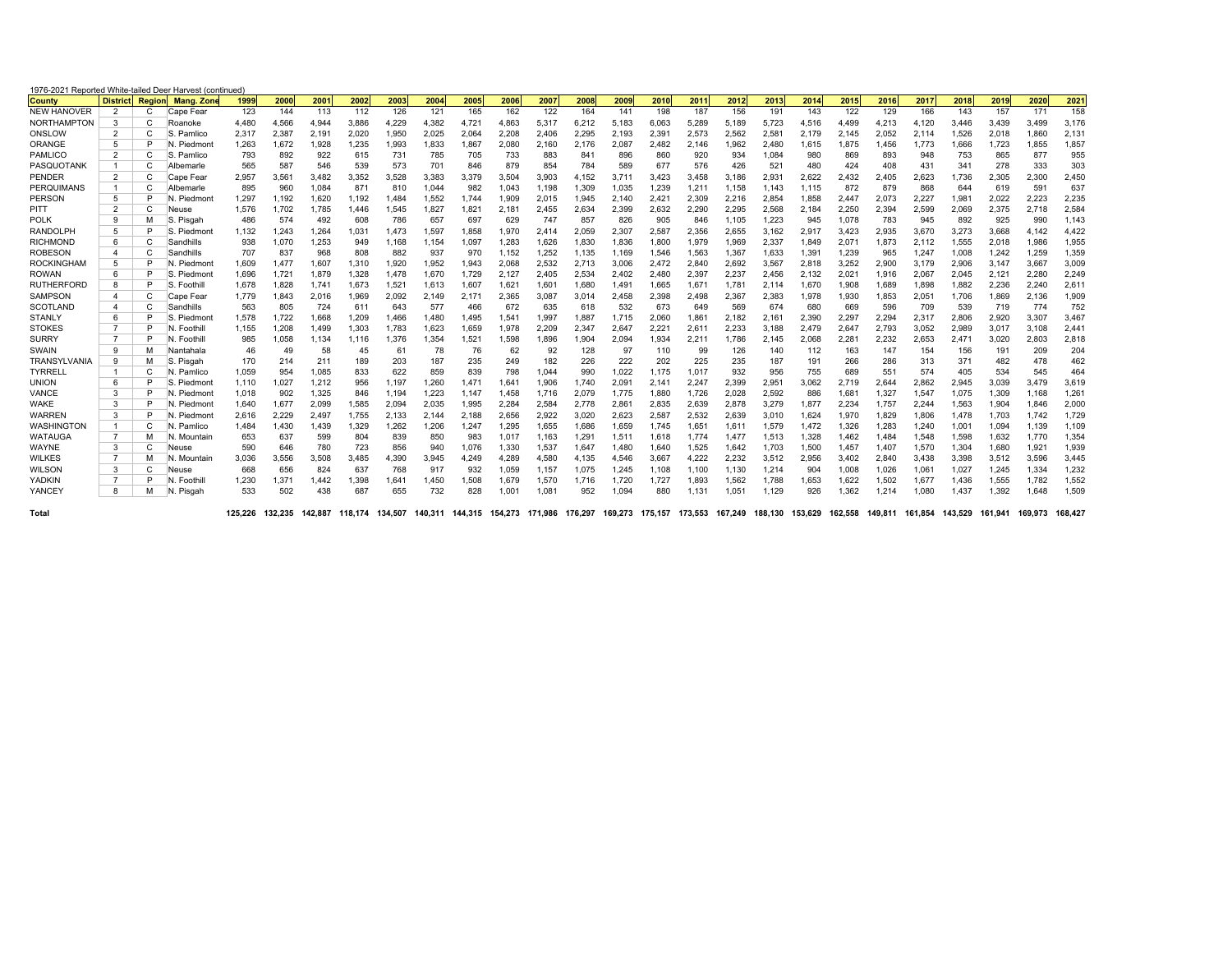| 1976-2021 Reported White-tailed Deer Harvest (continued) |                 |        |             |         |         |         |       |       |       |       |       |                                                         |       |         |       |                 |       |                         |       |         |       |                         |       |                 |       |         |
|----------------------------------------------------------|-----------------|--------|-------------|---------|---------|---------|-------|-------|-------|-------|-------|---------------------------------------------------------|-------|---------|-------|-----------------|-------|-------------------------|-------|---------|-------|-------------------------|-------|-----------------|-------|---------|
| <b>County</b>                                            | <b>District</b> | Region | Mang, Zon   | 1999    | 2000    | 2001    | 2002  | 2003  | 2004  | 2005  | 2006  | 2007                                                    | 2008  | 2009    | 2010  | 2011            | 2012  | 2013                    | 2014  | 2015    | 2016  | 2017                    | 2018  | 2019            | 2020  | 202     |
| <b>NEW HANOVER</b>                                       | $\overline{2}$  | C      | Cape Fear   | 123     | 144     | 113     | 112   | 126   | 121   | 165   | 162   | 122                                                     | 164   | 141     | 198   | 187             | 156   | 191                     | 143   | 122     | 129   | 166                     | 143   | 157             | 171   | 158     |
| <b>NORTHAMPTON</b>                                       | 3               | C      | Roanoke     | 4,480   | 4,566   | 4,944   | 3,886 | 4,229 | 4,382 | 4,721 | 4,863 | 5,317                                                   | 6,212 | 5,183   | 6,063 | 5,289           | 5,189 | 5,723                   | 4,516 | 4,499   | 4,213 | 4,120                   | 3.446 | 3,439           | 3,499 | 3,176   |
| ONSLOW                                                   | $\overline{2}$  | C      | S. Pamlico  | 2,317   | 2,387   | 2,191   | 2,020 | 1,950 | 2,025 | 2,064 | 2,208 | 2,406                                                   | 2,295 | 2,193   | 2,391 | 2,573           | 2,562 | 2,581                   | 2.179 | 2.145   | 2,052 | 2,114                   | 1,526 | 2,018           | 1.860 | 2,131   |
| ORANGE                                                   | 5               | P      | N. Piedmont | 1.263   | 1.672   | 1,928   | 1.235 | 1,993 | 1,833 | 1,867 | 2.080 | 2,160                                                   | 2.176 | 2,087   | 2,482 | 2.146           | 1.962 | 2.480                   | 1.615 | 1,875   | 1,456 | 1.773                   | 1.666 | 1,723           | 1,855 | 1,857   |
| PAMLICO                                                  | 2               | C      | S. Pamlico  | 793     | 892     | 922     | 615   | 731   | 785   | 705   | 733   | 883                                                     | 841   | 896     | 860   | 920             | 934   | 1,084                   | 980   | 869     | 893   | 948                     | 753   | 865             | 877   | 955     |
| PASQUOTANK                                               | $\mathbf{1}$    | C      | Albemarle   | 565     | 587     | 546     | 539   | 573   | 701   | 846   | 879   | 854                                                     | 784   | 589     | 677   | 576             | 426   | 521                     | 480   | 424     | 408   | 431                     | 341   | 278             | 333   | 303     |
| PENDER                                                   | 2               | C      | Cape Fear   | 2,957   | 3,561   | 3,482   | 3,352 | 3,528 | 3,383 | 3,379 | 3,504 | 3,903                                                   | 4,152 | 3,711   | 3,423 | 3,458           | 3,186 | 2,931                   | 2,622 | 2,432   | 2,405 | 2,623                   | 1,736 | 2,305           | 2,300 | 2,450   |
| PERQUIMANS                                               | $\overline{1}$  | C      | Albemarle   | 895     | 960     | 1,084   | 871   | 810   | 1,044 | 982   | 1.043 | 1,198                                                   | 1,309 | 1,035   | 1,239 | 1,211           | 1,158 | 1,143                   | 1.115 | 872     | 879   | 868                     | 644   | 619             | 591   | 637     |
| <b>PERSON</b>                                            | 5               | P      | N. Piedmon  | 1.297   | 1.192   | 1.620   | 1.192 | 1,484 | 1,552 | 1.744 | 1.909 | 2,015                                                   | 1,945 | 2.140   | 2,421 | 2,309           | 2,216 | 2,854                   | 1.858 | 2.447   | 2,073 | 2.227                   | 1,981 | 2,022           | 2.223 | 2,235   |
| PITT                                                     | $\overline{2}$  | C      | Neuse       | 1.576   | 1.702   | 1.785   | 1.446 | 1.545 | 1,827 | 1.821 | 2.181 | 2,455                                                   | 2.634 | 2,399   | 2.632 | 2.290           | 2,295 | 2,568                   | 2.184 | 2,250   | 2,394 | 2.599                   | 2.069 | 2.375           | 2.718 | 2,584   |
| <b>POLK</b>                                              | 9               | M      | S. Pisgah   | 486     | 574     | 492     | 608   | 786   | 657   | 697   | 629   | 747                                                     | 857   | 826     | 905   | 846             | 1,105 | 1,223                   | 945   | 1,078   | 783   | 945                     | 892   | 925             | 990   | 1,143   |
| <b>RANDOLPH</b>                                          | 5               | P      | S. Piedmont | 1,132   | 1,243   | 1,264   | 1,031 | 1.473 | 1,597 | 1,858 | 1.970 | 2,414                                                   | 2,059 | 2,307   | 2,587 | 2,356           | 2,655 | 3,162                   | 2,917 | 3,423   | 2,935 | 3,670                   | 3,273 | 3,668           | 4.142 | 4,422   |
| <b>RICHMOND</b>                                          | 6               | C      | Sandhills   | 938     | 1.070   | 1,253   | 949   | 1.168 | 1,154 | 1.097 | 1.283 | 1.626                                                   | 1.830 | 1.836   | 1.800 | 1.979           | 1.969 | 2.337                   | 1.849 | 2.071   | 1.873 | 2.112                   | 1.555 | 2,018           | 1.986 | 1,955   |
| <b>ROBESON</b>                                           | 4               | C      | Sandhills   | 707     | 837     | 968     | 808   | 882   | 937   | 970   | 1.152 | 1,252                                                   | 1,135 | 1.169   | 1,546 | 1,563           | 1,367 | 1,633                   | 1,391 | 1,239   | 965   | 1.247                   | 1.008 | 1,242           | 1,259 | 1,359   |
| <b>ROCKINGHAM</b>                                        | 5               | P      | N. Piedmon  | 1,609   | 1,477   | 1,607   | 1,310 | 1,920 | 1,952 | 1,943 | 2,068 | 2,532                                                   | 2,713 | 3,006   | 2,472 | 2,840           | 2,692 | 3,567                   | 2,818 | 3,252   | 2,900 | 3,179                   | 2,906 | 3,147           | 3,667 | 3,009   |
| <b>ROWAN</b>                                             | 6               | P      | S. Piedmont | 1,696   | 1,721   | 1,879   | 1,328 | 1.478 | 1,670 | 1,729 | 2.127 | 2,405                                                   | 2,534 | 2.402   | 2,480 | 2,397           | 2,237 | 2,456                   | 2,132 | 2,021   | 1,916 | 2,067                   | 2,045 | 2,121           | 2,280 | 2,249   |
| <b>RUTHERFORD</b>                                        | 8               | P      | S. Foothill | 1.678   | 1,828   | 1,741   | 1,673 | 1,521 | 1,613 | 1,607 | 1,621 | 1,601                                                   | 1,680 | 1,491   | 1,665 | 1,671           | 1,781 | 2,114                   | 1,670 | 1,908   | 1,689 | 1,898                   | 1,882 | 2,236           | 2,240 | 2,61    |
| <b>SAMPSON</b>                                           | $\overline{4}$  | C      | Cape Fear   | 1.779   | 1.843   | 2,016   | 1.969 | 2.092 | 2.149 | 2.171 | 2.365 | 3.087                                                   | 3.014 | 2.458   | 2.398 | 2.498           | 2.367 | 2.383                   | 1.978 | 1,930   | 1,853 | 2.051                   | 1.706 | 1.869           | 2.136 | 1,909   |
| <b>SCOTLAND</b>                                          | $\overline{4}$  | C      | Sandhills   | 563     | 805     | 724     | 611   | 643   | 577   | 466   | 672   | 635                                                     | 618   | 532     | 673   | 649             | 569   | 674                     | 680   | 669     | 596   | 709                     | 539   | 719             | 774   | 752     |
| <b>STANLY</b>                                            | 6               | P      | S. Piedmon  | 1,578   | 1,722   | 1,668   | 1,209 | 1,466 | 1,480 | 1,495 | 1,541 | 1,997                                                   | 1,887 | 1.715   | 2,060 | 1,861           | 2,182 | 2,161                   | 2,390 | 2,297   | 2,294 | 2,317                   | 2,806 | 2,920           | 3,307 | 3,467   |
| <b>STOKES</b>                                            | $\overline{7}$  | P      | N. Foothill | 1,155   | 1,208   | 1,499   | 1,303 | 1,783 | 1,623 | 1,659 | 1.978 | 2,209                                                   | 2,347 | 2,647   | 2,221 | 2,611           | 2,233 | 3,188                   | 2.479 | 2,647   | 2,793 | 3,052                   | 2,989 | 3,017           | 3,108 | 2,44'   |
| <b>SURRY</b>                                             | 7               | P      | N. Foothill | 985     | 1,058   | 1,134   | 1.116 | 1.376 | 1,354 | 1,521 | 1,598 | 1,896                                                   | 1,904 | 2,094   | 1,934 | 2,211           | 1.786 | 2,145                   | 2,068 | 2,281   | 2,232 | 2,653                   | 2.471 | 3,020           | 2,803 | 2,818   |
| SWAIN                                                    | 9               | M      | Nantahala   | 46      | 49      | 58      | 45    | 61    | 78    | 76    | 62    | 92                                                      | 128   | 97      | 110   | 99              | 126   | 140                     | 112   | 163     | 147   | 154                     | 156   | 191             | 209   | 204     |
| <b>TRANSYLVANIA</b>                                      | 9               | М      | S. Pisgah   | 170     | 214     | 211     | 189   | 203   | 187   | 235   | 249   | 182                                                     | 226   | 222     | 202   | 225             | 235   | 187                     | 191   | 266     | 286   | 313                     | 371   | 482             | 478   | 462     |
| <b>TYRRELI</b>                                           | $\overline{1}$  | C      | N. Pamlico  | 1,059   | 954     | 1,085   | 833   | 622   | 859   | 839   | 798   | 1,044                                                   | 990   | 1,022   | 1,175 | 1.017           | 932   | 956                     | 755   | 689     | 551   | 574                     | 405   | 534             | 545   | 464     |
| <b>UNION</b>                                             | 6               | P      | S. Piedmont | 1.110   | 1,027   | 1,212   | 956   | 1,197 | 1,260 | 1.471 | 1.641 | 1,906                                                   | 1.740 | 2,091   | 2.141 | 2,247           | 2,399 | 2,951                   | 3.062 | 2,719   | 2,644 | 2.862                   | 2,945 | 3,039           | 3,479 | 3,619   |
| VANCE                                                    | 3               | P      | N. Piedmont | 1.018   | 902     | 1,325   | 846   | 1.194 | 1.223 | 1.147 | 1.458 | 1.716                                                   | 2.079 | 1.775   | 1.880 | 1.726           | 2.028 | 2.592                   | 886   | 1,681   | 1,327 | 1.547                   | 1.075 | 1.309           | 1.168 | 1,261   |
| <b>WAKE</b>                                              | 3               | P      | N. Piedmont | 1.640   | 1.677   | 2.099   | 1.585 | 2.094 | 2.035 | 1.995 | 2.284 | 2.584                                                   | 2.778 | 2.861   | 2.835 | 2.639           | 2.878 | 3.279                   | 1.877 | 2.234   | 1.757 | 2.244                   | 1.563 | 1,904           | 1.846 | 2,000   |
| <b>WARREN</b>                                            | 3               | P      | N. Piedmon  | 2,616   | 2,229   | 2,497   | 1,755 | 2,133 | 2,144 | 2,188 | 2,656 | 2,922                                                   | 3,020 | 2,623   | 2,587 | 2,532           | 2,639 | 3,010                   | 1,624 | 1,970   | 1,829 | 1,806                   | 1.478 | 1,703           | 1.742 | 1,729   |
| WASHINGTON                                               | $\mathbf{1}$    | C      | N. Pamlico  | 1,484   | 1,430   | 1,439   | 1,329 | 1,262 | 1,206 | 1,247 | 1,295 | 1,655                                                   | 1,686 | 1,659   | 1,745 | 1,651           | 1,611 | 1,579                   | 1,472 | 1,326   | 1,283 | 1,240                   | 1,001 | 1,094           | 1,139 | 1,109   |
| WATAUGA                                                  | 7               | М      | N. Mountain | 653     | 637     | 599     | 804   | 839   | 850   | 983   | 1.017 | 1,163                                                   | 1,291 | 1,511   | 1,618 | 1.774           | 1.477 | 1,513                   | 1,328 | 1.462   | 1,484 | 1,548                   | 1,598 | 1,632           | 1,770 | 1,354   |
| WAYNE                                                    | 3               | C      | Neuse       | 590     | 646     | 780     | 723   | 856   | 940   | 1,076 | 1,330 | 1,537                                                   | 1,647 | 1.480   | 1,640 | 1,525           | 1,642 | 1,703                   | 1,500 | 1,457   | 1,407 | 1,570                   | 1,304 | 1,680           | 1,921 | 1,939   |
| <b>WILKES</b>                                            | 7               | М      | N. Mountain | 3,036   | 3,556   | 3,508   | 3.485 | 4,390 | 3,945 | 4.249 | 4,289 | 4,580                                                   | 4.135 | 4.546   | 3,667 | 4.222           | 2,232 | 3,512                   | 2.956 | 3.402   | 2,840 | 3.438                   | 3,398 | 3,512           | 3,596 | 3,445   |
| <b>WILSON</b>                                            | 3               | C      | Neuse       | 668     | 656     | 824     | 637   | 768   | 917   | 932   | 1.059 | 1.157                                                   | 1.075 | 1.245   | 1,108 | 1.100           | 1.130 | 1,214                   | 904   | 1,008   | 1,026 | 1.061                   | 1,027 | 1,245           | 1,334 | 1,232   |
| YADKIN                                                   | $\overline{7}$  | P      | N. Foothil  | 1,230   | 1,371   | 1,442   | 1,398 | 1,641 | 1,450 | 1,508 | 1.679 | 1,570                                                   | 1.716 | 1.720   | 1.727 | 1,893           | 1,562 | 1,788                   | 1,653 | 1,622   | 1,502 | 1.677                   | 1.436 | 1,555           | 1.782 | 1,552   |
| YANCEY                                                   | 8               | M      | N. Pisgah   | 533     | 502     | 438     | 687   | 655   | 732   | 828   | 1.001 | 1.081                                                   | 952   | 1.094   | 880   | 1.131           | 1.051 | 1.129                   | 926   | 1.362   | 1.214 | 1.080                   | 1.437 | 1,392           | 1.648 | 1.509   |
| Total                                                    |                 |        |             | 125.226 | 132.235 | 142.887 |       |       |       |       |       | 118.174 134.507 140.311 144.315 154.273 171.986 176.297 |       | 169.273 |       | 175.157 173.553 |       | 167.249 188.130 153.629 |       | 162.558 |       | 149.811 161.854 143.529 |       | 161.941 169.973 |       | 168.427 |